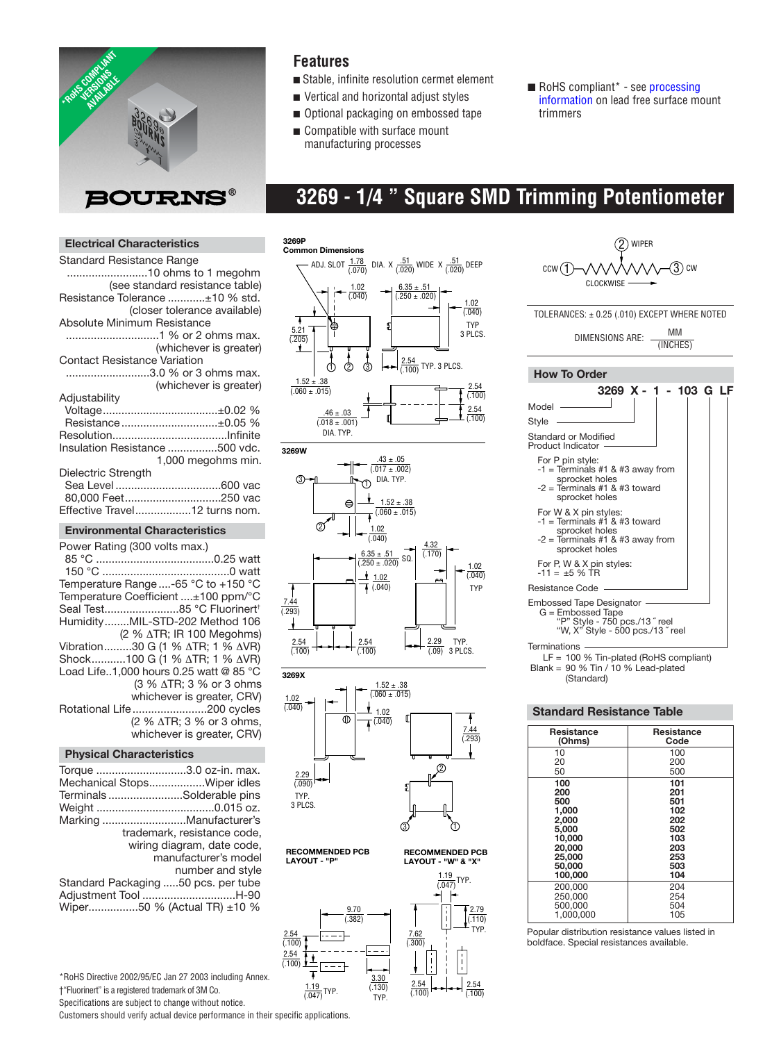

### **Features**

- Stable, infinite resolution cermet element
- Vertical and horizontal adjust styles
- Optional packaging on embossed tape
- Compatible with surface mount manufacturing processes
- RoHS compliant\* see processing [information on lead free surface mo](http://www.bourns.com/pdfs/LeadFreeSolderProfile.pdf)unt trimmers

# **3269 - 1/4 " Square SMD Trimming Potentiometer**

### **Electrical Characteristics**

| Standard Resistance Range           |
|-------------------------------------|
|                                     |
| (see standard resistance table)     |
| Resistance Tolerance ±10 % std.     |
| (closer tolerance available)        |
| Absolute Minimum Resistance         |
|                                     |
| (whichever is greater)              |
| <b>Contact Resistance Variation</b> |
| 3.0 % or 3 ohms max.                |
| (whichever is greater)              |
| Adjustability                       |
|                                     |
| Resistance±0.05 %                   |
|                                     |
| Insulation Resistance 500 vdc.      |
| 1,000 megohms min.                  |
| Dielectric Strength                 |
|                                     |
|                                     |
| Effective Travel12 turns nom.       |
|                                     |

#### **Environmental Characteristics**

| Power Rating (300 volts max.)          |
|----------------------------------------|
|                                        |
|                                        |
| Temperature Range -65 °C to +150 °C    |
| Temperature Coefficient ±100 ppm/°C    |
| Seal Test85 °C Fluorinert <sup>†</sup> |
| HumidityMIL-STD-202 Method 106         |
| (2 % ΔTR; IR 100 Megohms)              |
| Vibration30 G (1 % ΔTR; 1 % ΔVR)       |
| Shock100 G (1 % ATR; 1 % AVR)          |
| Load Life1.000 hours 0.25 watt @ 85 °C |
| (3 % ∆TR; 3 % or 3 ohms                |
| whichever is greater, CRV)             |
| Rotational Life200 cycles              |
| (2 % ∆TR; 3 % or 3 ohms,               |
| whichever is greater, CRV)             |
|                                        |

#### **Physical Characteristics**

| Torque 3.0 oz-in. max.<br>Mechanical StopsWiper idles<br>TerminalsSolderable pins<br>Marking Manufacturer's<br>trademark, resistance code. |
|--------------------------------------------------------------------------------------------------------------------------------------------|
| wiring diagram, date code,                                                                                                                 |
|                                                                                                                                            |
| manufacturer's model                                                                                                                       |
| number and style                                                                                                                           |
| Standard Packaging 50 pcs. per tube                                                                                                        |
| Adjustment Tool H-90<br>Wiper50 % (Actual TR) ±10 %                                                                                        |
|                                                                                                                                            |

\*RoHS Directive 2002/95/EC Jan 27 2003 including Annex. †"Fluorinert" is a registered trademark of 3M Co. Specifications are subject to change without notice.

Customers should verify actual device performance in their specific applications.











2.54 (.100)

 $\frac{2.79}{(.110)}$ 



**RECOMMENDED PCB LAYOUT - "P"**



LF = 100 % Tin-plated (RoHS compliant) Blank = 90 % Tin / 10 % Lead-plated (Standard)

#### **Standard Resistance Table**

| Resistance | Resistance |  |
|------------|------------|--|
| (Ohms)     | Code       |  |
| 10         | 100        |  |
| 20         | 200        |  |
| 50         | 500        |  |
| 100        | 101        |  |
| 200        | 201        |  |
| 500        | 501        |  |
| 1,000      | 102        |  |
| 2.000      | 202        |  |
| 5,000      | 502        |  |
| 10.000     | 103        |  |
| 20,000     | 203        |  |
| 25,000     | 253        |  |
| 50,000     | 503        |  |
| 100,000    | 104        |  |
| 200.000    | 204        |  |
| 250.000    | 254        |  |
| 500.000    | 504        |  |
| 1.000.000  | 105        |  |

Popular distribution resistance values listed in boldface. Special resistances available.